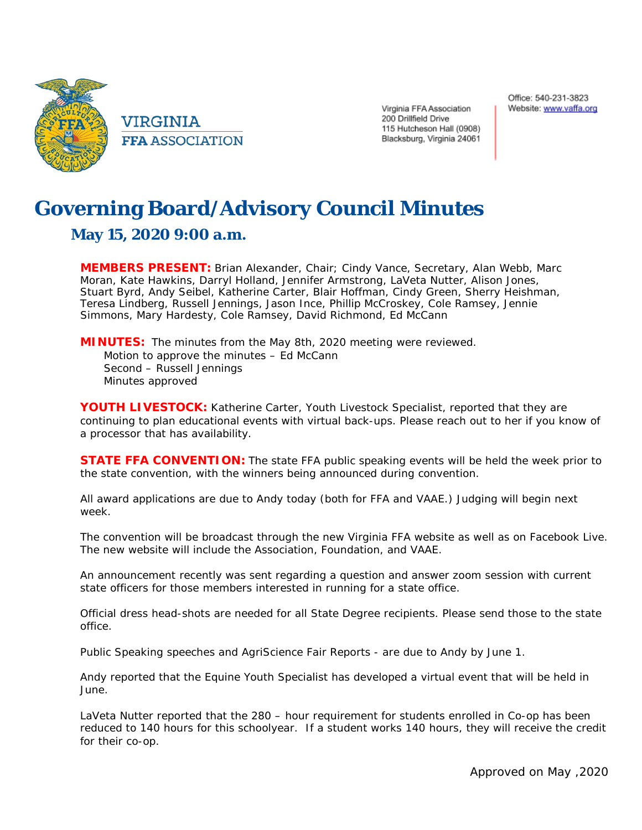

VIRGINIA **FFA ASSOCIATION** 

Virginia FFA Association 200 Drillfield Drive 115 Hutcheson Hall (0908) Blacksburg, Virginia 24061

## **Governing Board/Advisory Council Minutes**

## **May 15, 2020 9:00 a.m.**

**MEMBERS PRESENT:** Brian Alexander, Chair; Cindy Vance, Secretary, Alan Webb, Marc Moran, Kate Hawkins, Darryl Holland, Jennifer Armstrong, LaVeta Nutter, Alison Jones, Stuart Byrd, Andy Seibel, Katherine Carter, Blair Hoffman, Cindy Green, Sherry Heishman, Teresa Lindberg, Russell Jennings, Jason Ince, Phillip McCroskey, Cole Ramsey, Jennie Simmons, Mary Hardesty, Cole Ramsey, David Richmond, Ed McCann

**MINUTES:** The minutes from the May 8th, 2020 meeting were reviewed. Motion to approve the minutes – Ed McCann Second – Russell Jennings Minutes approved

**YOUTH LIVESTOCK:** Katherine Carter, Youth Livestock Specialist, reported that they are continuing to plan educational events with virtual back-ups. Please reach out to her if you know of a processor that has availability.

**STATE FFA CONVENTION:** The state FFA public speaking events will be held the week prior to the state convention, with the winners being announced during convention.

All award applications are due to Andy today (both for FFA and VAAE.) Judging will begin next week.

The convention will be broadcast through the new Virginia FFA website as well as on Facebook Live. The new website will include the Association, Foundation, and VAAE.

An announcement recently was sent regarding a question and answer zoom session with current state officers for those members interested in running for a state office.

Official dress head-shots are needed for all State Degree recipients. Please send those to the state office.

Public Speaking speeches and AgriScience Fair Reports - are due to Andy by June 1.

Andy reported that the Equine Youth Specialist has developed a virtual event that will be held in June.

LaVeta Nutter reported that the 280 – hour requirement for students enrolled in Co-op has been reduced to 140 hours for this schoolyear. If a student works 140 hours, they will receive the credit for their co-op.